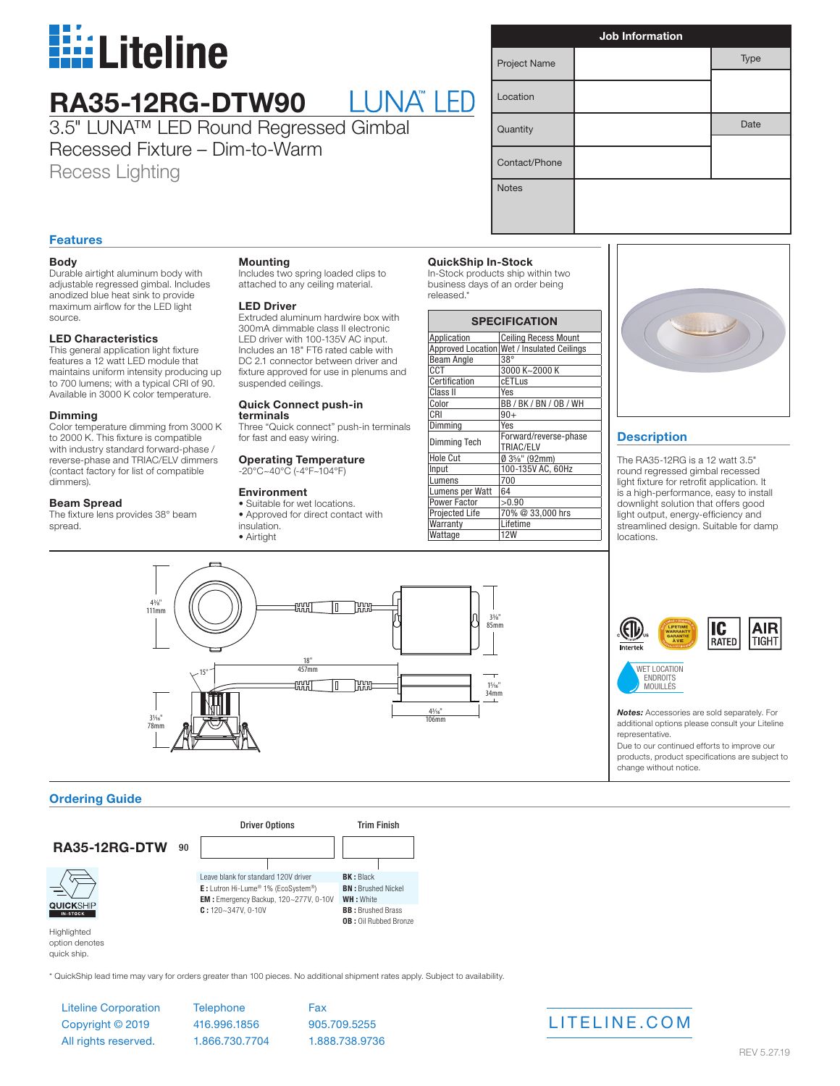

# **RA35-12RG-DTW90**

3.5" LUNA™ LED Round Regressed Gimbal Recessed Fixture – Dim-to-Warm Recess Lighting

| <b>Job Information</b> |  |      |
|------------------------|--|------|
| Project Name           |  | Type |
| Location               |  |      |
| Quantity               |  | Date |
| Contact/Phone          |  |      |
| <b>Notes</b>           |  |      |

# **Features**

### **Body**

Durable airtight aluminum body with adjustable regressed gimbal. Includes anodized blue heat sink to provide maximum airflow for the LED light source.

#### **LED Characteristics**

This general application light fixture features a 12 watt LED module that maintains uniform intensity producing up to 700 lumens; with a typical CRI of 90. Available in 3000 K color temperature.

#### **Dimming**

Color temperature dimming from 3000 K to 2000 K. This fixture is compatible with industry standard forward-phase / reverse-phase and TRIAC/ELV dimmers (contact factory for list of compatible dimmers).

#### **Beam Spread**

The fixture lens provides 38° beam spread.

#### **Mounting**

Includes two spring loaded clips to attached to any ceiling material.

#### **LED Driver**

Extruded aluminum hardwire box with 300mA dimmable class II electronic LED driver with 100-135V AC input. Includes an 18" FT6 rated cable with DC 2.1 connector between driver and fixture approved for use in plenums and suspended ceilings.

# **Quick Connect push-in**

**terminals** Three "Quick connect" push-in terminals for fast and easy wiring.

#### **Operating Temperature** -20°C~40°C (-4°F~104°F)

### **Environment**

• Suitable for wet locations. • Approved for direct contact with insulation. • Airtight

# **QuickShip In-Stock**

In-Stock products ship within two business days of an order being released.\*

| <b>SPECIFICATION</b> |                                            |  |
|----------------------|--------------------------------------------|--|
| Application          | <b>Ceiling Recess Mount</b>                |  |
|                      | Approved Location Wet / Insulated Ceilings |  |
| <b>Beam Angle</b>    | $38^\circ$                                 |  |
| CCT                  | 3000 K~2000 K                              |  |
| Certification        | <b>cETLus</b>                              |  |
| Class II             | Yes                                        |  |
| Color                | BB/BK/BN/0B/WH                             |  |
| CRI                  | $90+$                                      |  |
| Dimming              | Yes                                        |  |
| Dimming Tech         | Forward/reverse-phase                      |  |
|                      | TRIAC/ELV                                  |  |
| <b>Hole Cut</b>      | $\emptyset$ 3%" (92mm)                     |  |
| Input                | 100-135V AC, 60Hz                          |  |
| umens                | 700                                        |  |
| Lumens per Watt      | 64                                         |  |
| <b>Power Factor</b>  | >0.90                                      |  |
| Projected Life       | 70% @ 33,000 hrs                           |  |
| Warranty             | Lifetime                                   |  |
| Wattage              | <b>12W</b>                                 |  |



# **Description**

The RA35-12RG is a 12 watt 3.5" round regressed gimbal recessed light fixture for retrofit application. It is a high-performance, easy to install downlight solution that offers good light output, energy-efficiency and streamlined design. Suitable for damp locations.





*Notes:* Accessories are sold separately. For additional options please consult your Liteline representative.

MOUILLÉS

Due to our continued efforts to improve our products, product specifications are subject to change without notice.

## **Ordering Guide**



quick ship.

\* QuickShip lead time may vary for orders greater than 100 pieces. No additional shipment rates apply. Subject to availability.

Liteline Corporation Copyright © 2019 All rights reserved.

**Telephone** 416.996.1856 1.866.730.7704 Fax 905.709.5255 1.888.738.9736